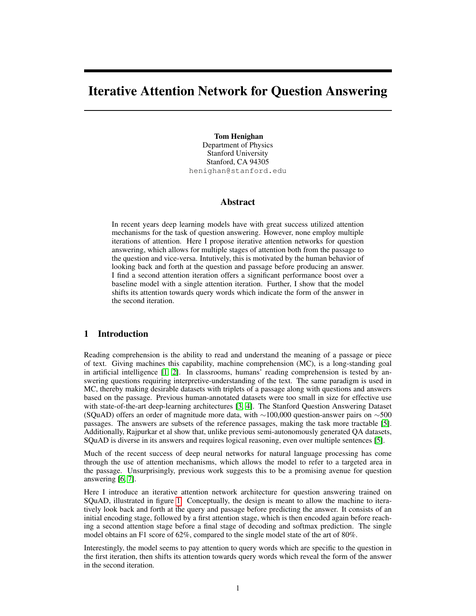# Iterative Attention Network for Question Answering

Tom Henighan Department of Physics Stanford University Stanford, CA 94305 henighan@stanford.edu

## Abstract

In recent years deep learning models have with great success utilized attention mechanisms for the task of question answering. However, none employ multiple iterations of attention. Here I propose iterative attention networks for question answering, which allows for multiple stages of attention both from the passage to the question and vice-versa. Intutively, this is motivated by the human behavior of looking back and forth at the question and passage before producing an answer. I find a second attention iteration offers a significant performance boost over a baseline model with a single attention iteration. Further, I show that the model shifts its attention towards query words which indicate the form of the answer in the second iteration.

# 1 Introduction

Reading comprehension is the ability to read and understand the meaning of a passage or piece of text. Giving machines this capability, machine comprehension (MC), is a long-standing goal in artificial intelligence [\[1,](#page-6-0) [2\]](#page-7-0). In classrooms, humans' reading comprehension is tested by answering questions requiring interpretive-understanding of the text. The same paradigm is used in MC, thereby making desirable datasets with triplets of a passage along with questions and answers based on the passage. Previous human-annotated datasets were too small in size for effective use with state-of-the-art deep-learning architectures [\[3,](#page-7-1) [4\]](#page-7-2). The Stanford Question Answering Dataset (SQuAD) offers an order of magnitude more data, with  $\sim$ 100,000 question-answer pairs on  $\sim$ 500 passages. The answers are subsets of the reference passages, making the task more tractable [\[5\]](#page-7-3). Additionally, Rajpurkar et al show that, unlike previous semi-autonomously generated QA datasets, SQuAD is diverse in its answers and requires logical reasoning, even over multiple sentences [\[5\]](#page-7-3).

Much of the recent success of deep neural networks for natural language processing has come through the use of attention mechanisms, which allows the model to refer to a targeted area in the passage. Unsurprisingly, previous work suggests this to be a promising avenue for question answering [\[6,](#page-7-4) [7\]](#page-7-5).

Here I introduce an iterative attention network architecture for question answering trained on SQuAD, illustrated in figure [1.](#page-1-0) Conceptually, the design is meant to allow the machine to iteratively look back and forth at the query and passage before predicting the answer. It consists of an initial encoding stage, followed by a first attention stage, which is then encoded again before reaching a second attention stage before a final stage of decoding and softmax prediction. The single model obtains an F1 score of 62%, compared to the single model state of the art of 80%.

Interestingly, the model seems to pay attention to query words which are specific to the question in the first iteration, then shifts its attention towards query words which reveal the form of the answer in the second iteration.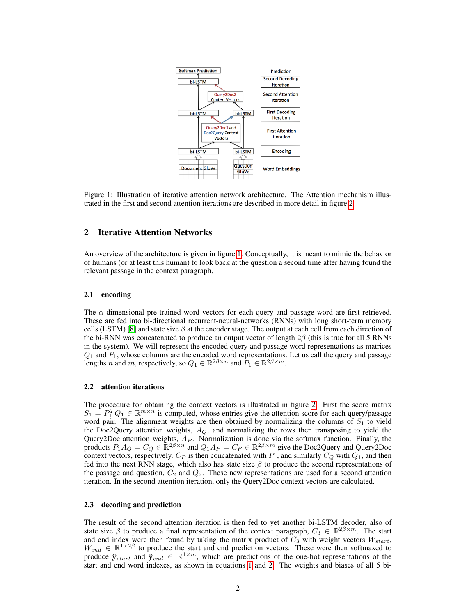<span id="page-1-0"></span>

Figure 1: Illustration of iterative attention network architecture. The Attention mechanism illustrated in the first and second attention iterations are described in more detail in figure [2](#page-2-0)

### 2 Iterative Attention Networks

An overview of the architecture is given in figure [1.](#page-1-0) Conceptually, it is meant to mimic the behavior of humans (or at least this human) to look back at the question a second time after having found the relevant passage in the context paragraph.

#### 2.1 encoding

The  $\alpha$  dimensional pre-trained word vectors for each query and passage word are first retrieved. These are fed into bi-directional recurrent-neural-networks (RNNs) with long short-term memory cells (LSTM) [\[8\]](#page-7-6) and state size  $\beta$  at the encoder stage. The output at each cell from each direction of the bi-RNN was concatenated to produce an output vector of length  $2\beta$  (this is true for all 5 RNNs in the system). We will represent the encoded query and passage word representations as matrices  $Q_1$  and  $P_1$ , whose columns are the encoded word representations. Let us call the query and passage lengths n and m, respectively, so  $Q_1 \in \mathbb{R}^{2\beta \times n}$  and  $P_1 \in \mathbb{R}^{2\beta \times m}$ .

#### 2.2 attention iterations

The procedure for obtaining the context vectors is illustrated in figure [2.](#page-2-0) First the score matrix  $S_1 = P_1^T Q_1 \in \mathbb{R}^{m \times n}$  is computed, whose entries give the attention score for each query/passage word pair. The alignment weights are then obtained by normalizing the columns of  $S_1$  to yield the Doc2Query attention weights,  $A_Q$ , and normalizing the rows then transposing to yield the Query2Doc attention weights,  $A_P$ . Normalization is done via the softmax function. Finally, the products  $P_1 A_Q = C_Q \in \mathbb{R}^{2\beta \times n}$  and  $Q_1 A_P = C_P \in \mathbb{R}^{2\beta \times m}$  give the Doc2Query and Query2Doc context vectors, respectively.  $C_P$  is then concatenated with  $P_1$ , and similarly  $C_Q$  with  $Q_1$ , and then fed into the next RNN stage, which also has state size  $\beta$  to produce the second representations of the passage and question,  $C_2$  and  $Q_2$ . These new representations are used for a second attention iteration. In the second attention iteration, only the Query2Doc context vectors are calculated.

#### 2.3 decoding and prediction

The result of the second attention iteration is then fed to yet another bi-LSTM decoder, also of state size  $\beta$  to produce a final representation of the context paragraph,  $C_3 \in \mathbb{R}^{2\beta \times m}$ . The start and end index were then found by taking the matrix product of  $C_3$  with weight vectors  $W_{start}$ ,  $W_{end} \in \mathbb{R}^{1 \times 2\beta}$  to produce the start and end prediction vectors. These were then softmaxed to produce  $\hat{\mathbf{y}}_{start}$  and  $\hat{\mathbf{y}}_{end} \in \mathbb{R}^{1 \times m}$ , which are predictions of the one-hot representations of the start and end word indexes, as shown in equations [1](#page-2-1) and [2.](#page-2-2) The weights and biases of all 5 bi-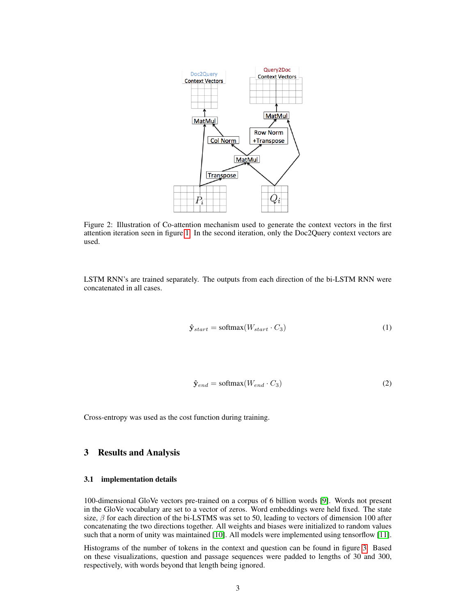<span id="page-2-0"></span>

Figure 2: Illustration of Co-attention mechanism used to generate the context vectors in the first attention iteration seen in figure [1.](#page-1-0) In the second iteration, only the Doc2Query context vectors are used.

<span id="page-2-1"></span>LSTM RNN's are trained separately. The outputs from each direction of the bi-LSTM RNN were concatenated in all cases.

$$
\hat{\mathbf{y}}_{start} = \text{softmax}(W_{start} \cdot C_3) \tag{1}
$$

$$
\hat{\mathbf{y}}_{end} = \text{softmax}(W_{end} \cdot C_3) \tag{2}
$$

<span id="page-2-2"></span>Cross-entropy was used as the cost function during training.

## 3 Results and Analysis

#### 3.1 implementation details

100-dimensional GloVe vectors pre-trained on a corpus of 6 billion words [\[9\]](#page-7-7). Words not present in the GloVe vocabulary are set to a vector of zeros. Word embeddings were held fixed. The state size,  $\beta$  for each direction of the bi-LSTMS was set to 50, leading to vectors of dimension 100 after concatenating the two directions together. All weights and biases were initialized to random values such that a norm of unity was maintained [\[10\]](#page-7-8). All models were implemented using tensorflow [\[11\]](#page-7-9).

Histograms of the number of tokens in the context and question can be found in figure [3.](#page-3-0) Based on these visualizations, question and passage sequences were padded to lengths of 30 and 300, respectively, with words beyond that length being ignored.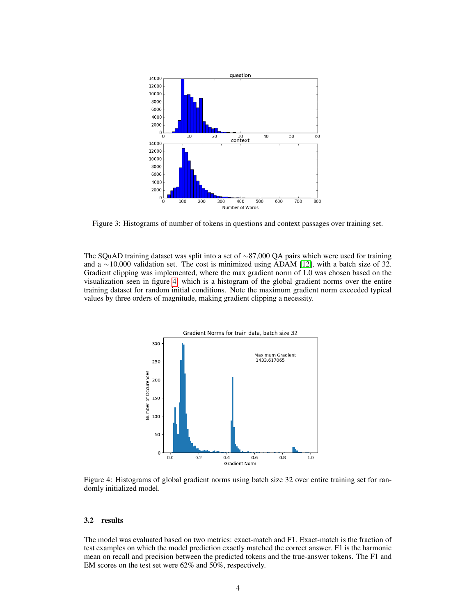<span id="page-3-0"></span>

Figure 3: Histograms of number of tokens in questions and context passages over training set.

The SQuAD training dataset was split into a set of ∼87,000 QA pairs which were used for training and a ∼10,000 validation set. The cost is minimized using ADAM [\[12\]](#page-7-10), with a batch size of 32. Gradient clipping was implemented, where the max gradient norm of 1.0 was chosen based on the visualization seen in figure [4,](#page-3-1) which is a histogram of the global gradient norms over the entire training dataset for random initial conditions. Note the maximum gradient norm exceeded typical values by three orders of magnitude, making gradient clipping a necessity.

<span id="page-3-1"></span>

Figure 4: Histograms of global gradient norms using batch size 32 over entire training set for randomly initialized model.

#### 3.2 results

The model was evaluated based on two metrics: exact-match and F1. Exact-match is the fraction of test examples on which the model prediction exactly matched the correct answer. F1 is the harmonic mean on recall and precision between the predicted tokens and the true-answer tokens. The F1 and EM scores on the test set were 62% and 50%, respectively.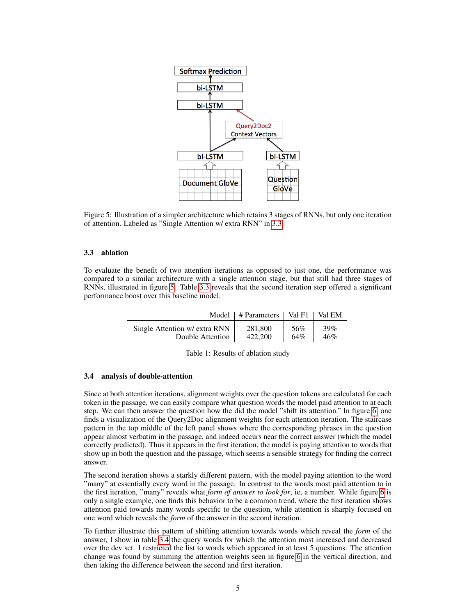<span id="page-4-0"></span>

Figure 5: Illustration of a simpler architecture which retains 3 stages of RNNs, but only one iteration of attention. Labeled as "Single Attention w/ extra RNN" in [3.3.](#page-4-0)

#### 3.3 ablation

To evaluate the benefit of two attention iterations as opposed to just one, the performance was compared to a similar architecture with a single attention stage, but that still had three stages of RNNs, illustrated in figure [5.](#page-4-0) Table [3.3](#page-4-0) reveals that the second iteration step offered a significant performance boost over this baseline model.

|                               | Model   # Parameters   Val F1   Val EM |     |     |
|-------------------------------|----------------------------------------|-----|-----|
| Single Attention w/ extra RNN | 281.800                                | 56% | 39% |
| Double Attention              | 422,200                                | 64% | 46% |

Table 1: Results of ablation study

#### 3.4 analysis of double-attention

Since at both attention iterations, alignment weights over the question tokens are calculated for each token in the passage, we can easily compare what question words the model paid attention to at each step. We can then answer the question how the did the model "shift its attention." In figure [6,](#page-5-0) one finds a visualization of the Query2Doc alignment weights for each attention iteration. The staircase pattern in the top middle of the left panel shows where the corresponding phrases in the question appear almost verbatim in the passage, and indeed occurs near the correct answer (which the model correctly predicted). Thus it appears in the first iteration, the model is paying attention to words that show up in both the question and the passage, which seems a sensible strategy for finding the correct answer.

The second iteration shows a starkly different pattern, with the model paying attention to the word "many" at essentially every word in the passage. In contrast to the words most paid attention to in the first iteration, "many" reveals what *form of answer to look for*, ie, a number. While figure [6](#page-5-0) is only a single example, one finds this behavior to be a common trend, where the first iteration shows attention paid towards many words specific to the question, while attention is sharply focused on one word which reveals the *form* of the answer in the second iteration.

To further illustrate this pattern of shifting attention towards words which reveal the *form* of the answer, I show in table [3.4](#page-5-0) the query words for which the attention most increased and decreased over the dev set. I restricted the list to words which appeared in at least 5 questions. The attention change was found by summing the attention weights seen in figure [6](#page-5-0) in the vertical direction, and then taking the difference between the second and first iteration.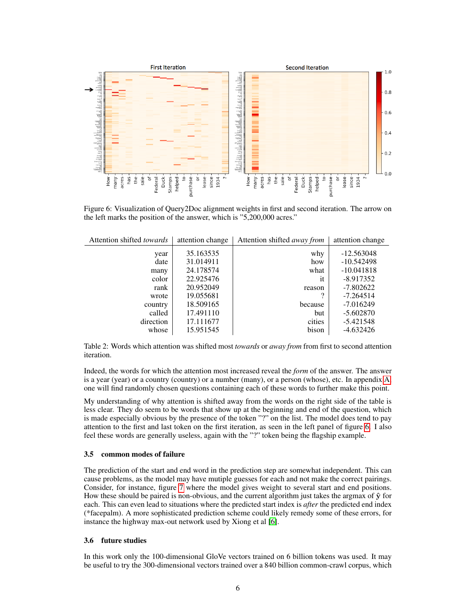<span id="page-5-0"></span>

Figure 6: Visualization of Query2Doc alignment weights in first and second iteration. The arrow on the left marks the position of the answer, which is "5,200,000 acres."

| Attention shifted <i>towards</i> | attention change | Attention shifted <i>away from</i> | attention change |
|----------------------------------|------------------|------------------------------------|------------------|
| year                             | 35.163535        | why                                | $-12.563048$     |
| date                             | 31.014911        | how                                | $-10.542498$     |
| many                             | 24.178574        | what                               | $-10.041818$     |
| color                            | 22.925476        | it                                 | $-8.917352$      |
| rank                             | 20.952049        | reason                             | $-7.802622$      |
| wrote                            | 19.055681        | 9                                  | $-7.264514$      |
| country                          | 18.509165        | because                            | $-7.016249$      |
| called                           | 17.491110        | but                                | $-5.602870$      |
| direction                        | 17.111677        | cities                             | -5.421548        |
| whose                            | 15.951545        | bison                              | -4.632426        |

Table 2: Words which attention was shifted most *towards* or *away from* from first to second attention iteration.

Indeed, the words for which the attention most increased reveal the *form* of the answer. The answer is a year (year) or a country (country) or a number (many), or a person (whose), etc. In appendix [A,](#page-7-11) one will find randomly chosen questions containing each of these words to further make this point.

My understanding of why attention is shifted away from the words on the right side of the table is less clear. They do seem to be words that show up at the beginning and end of the question, which is made especially obvious by the presence of the token "?" on the list. The model does tend to pay attention to the first and last token on the first iteration, as seen in the left panel of figure [6.](#page-5-0) I also feel these words are generally useless, again with the "?" token being the flagship example.

#### 3.5 common modes of failure

The prediction of the start and end word in the prediction step are somewhat independent. This can cause problems, as the model may have mutiple guesses for each and not make the correct pairings. Consider, for instance, figure [7](#page-6-1) where the model gives weight to several start and end positions. How these should be paired is non-obvious, and the current algorithm just takes the argmax of  $\hat{y}$  for each. This can even lead to situations where the predicted start index is *after* the predicted end index (\*facepalm). A more sophisticated prediction scheme could likely remedy some of these errors, for instance the highway max-out network used by Xiong et al [\[6\]](#page-7-4).

#### 3.6 future studies

In this work only the 100-dimensional GloVe vectors trained on 6 billion tokens was used. It may be useful to try the 300-dimensional vectors trained over a 840 billion common-crawl corpus, which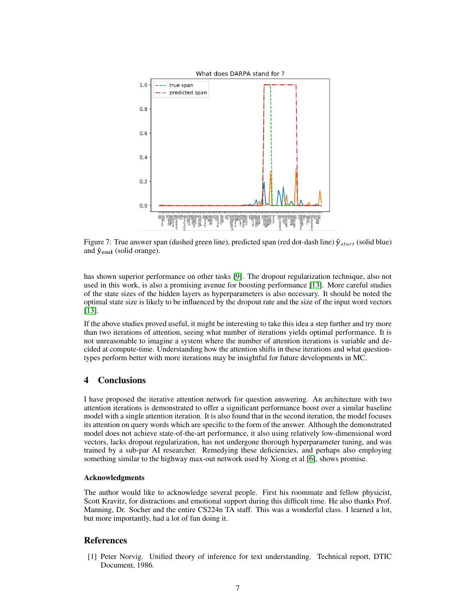<span id="page-6-1"></span>

Figure 7: True answer span (dashed green line), predicted span (red dot-dash line)  $\hat{\mathbf{y}}_{start}$  (solid blue) and  $\hat{\mathbf{y}}_{end}$  (solid orange).

has shown superior performance on other tasks [\[9\]](#page-7-7). The dropout regularization technique, also not used in this work, is also a promising avenue for boosting performance [\[13\]](#page-7-12). More careful studies of the state sizes of the hidden layers as hyperparameters is also necessary. It should be noted the optimal state size is likely to be influenced by the dropout rate and the size of the input word vectors [\[13\]](#page-7-12).

If the above studies proved useful, it might be interesting to take this idea a step further and try more than two iterations of attention, seeing what number of iterations yields optimal performance. It is not unreasonable to imagine a system where the number of attention iterations is variable and decided at compute-time. Understanding how the attention shifts in these iterations and what questiontypes perform better with more iterations may be insightful for future developments in MC.

# 4 Conclusions

I have proposed the iterative attention network for question answering. An architecture with two attention iterations is demonstrated to offer a significant performance boost over a similar baseline model with a single attention iteration. It is also found that in the second iteration, the model focuses its attention on query words which are specific to the form of the answer. Although the demonstrated model does not achieve state-of-the-art performance, it also using relatively low-dimensional word vectors, lacks dropout regularization, has not undergone thorough hyperparameter tuning, and was trained by a sub-par AI researcher. Remedying these deficiencies, and perhaps also employing something similar to the highway max-out network used by Xiong et al [\[6\]](#page-7-4), shows promise.

#### Acknowledgments

The author would like to acknowledge several people. First his roommate and fellow physicist, Scott Kravitz, for distractions and emotional support during this difficult time. He also thanks Prof. Manning, Dr. Socher and the entire CS224n TA staff. This was a wonderful class. I learned a lot, but more importantly, had a lot of fun doing it.

#### References

<span id="page-6-0"></span>[1] Peter Norvig. Unified theory of inference for text understanding. Technical report, DTIC Document, 1986.